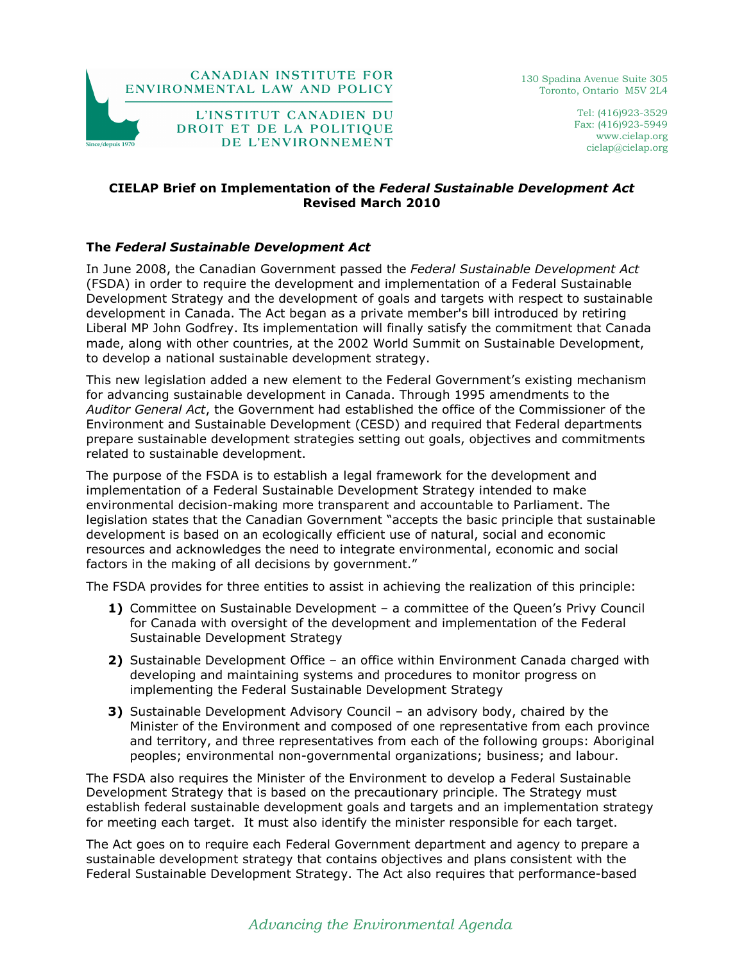

Tel: (416)923-3529 Fax: (416)923-5949 www.cielap.org cielap@cielap.org

# CIELAP Brief on Implementation of the Federal Sustainable Development Act Revised March 2010

# The Federal Sustainable Development Act

In June 2008, the Canadian Government passed the Federal Sustainable Development Act (FSDA) in order to require the development and implementation of a Federal Sustainable Development Strategy and the development of goals and targets with respect to sustainable development in Canada. The Act began as a private member's bill introduced by retiring Liberal MP John Godfrey. Its implementation will finally satisfy the commitment that Canada made, along with other countries, at the 2002 World Summit on Sustainable Development, to develop a national sustainable development strategy.

This new legislation added a new element to the Federal Government's existing mechanism for advancing sustainable development in Canada. Through 1995 amendments to the Auditor General Act, the Government had established the office of the Commissioner of the Environment and Sustainable Development (CESD) and required that Federal departments prepare sustainable development strategies setting out goals, objectives and commitments related to sustainable development.

The purpose of the FSDA is to establish a legal framework for the development and implementation of a Federal Sustainable Development Strategy intended to make environmental decision-making more transparent and accountable to Parliament. The legislation states that the Canadian Government "accepts the basic principle that sustainable development is based on an ecologically efficient use of natural, social and economic resources and acknowledges the need to integrate environmental, economic and social factors in the making of all decisions by government."

The FSDA provides for three entities to assist in achieving the realization of this principle:

- 1) Committee on Sustainable Development a committee of the Queen's Privy Council for Canada with oversight of the development and implementation of the Federal Sustainable Development Strategy
- 2) Sustainable Development Office an office within Environment Canada charged with developing and maintaining systems and procedures to monitor progress on implementing the Federal Sustainable Development Strategy
- 3) Sustainable Development Advisory Council an advisory body, chaired by the Minister of the Environment and composed of one representative from each province and territory, and three representatives from each of the following groups: Aboriginal peoples; environmental non-governmental organizations; business; and labour.

The FSDA also requires the Minister of the Environment to develop a Federal Sustainable Development Strategy that is based on the precautionary principle. The Strategy must establish federal sustainable development goals and targets and an implementation strategy for meeting each target. It must also identify the minister responsible for each target.

The Act goes on to require each Federal Government department and agency to prepare a sustainable development strategy that contains objectives and plans consistent with the Federal Sustainable Development Strategy. The Act also requires that performance-based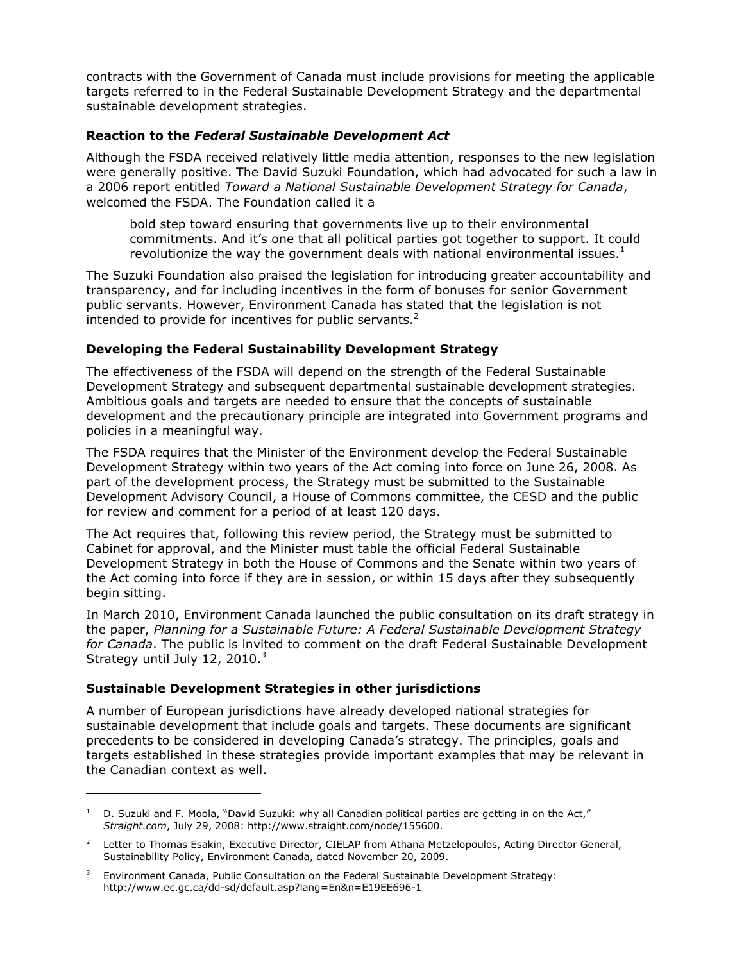contracts with the Government of Canada must include provisions for meeting the applicable targets referred to in the Federal Sustainable Development Strategy and the departmental sustainable development strategies.

### Reaction to the Federal Sustainable Development Act

Although the FSDA received relatively little media attention, responses to the new legislation were generally positive. The David Suzuki Foundation, which had advocated for such a law in a 2006 report entitled Toward a National Sustainable Development Strategy for Canada, welcomed the FSDA. The Foundation called it a

bold step toward ensuring that governments live up to their environmental commitments. And it's one that all political parties got together to support. It could revolutionize the way the government deals with national environmental issues. $1$ 

The Suzuki Foundation also praised the legislation for introducing greater accountability and transparency, and for including incentives in the form of bonuses for senior Government public servants. However, Environment Canada has stated that the legislation is not intended to provide for incentives for public servants. $2$ 

# Developing the Federal Sustainability Development Strategy

The effectiveness of the FSDA will depend on the strength of the Federal Sustainable Development Strategy and subsequent departmental sustainable development strategies. Ambitious goals and targets are needed to ensure that the concepts of sustainable development and the precautionary principle are integrated into Government programs and policies in a meaningful way.

The FSDA requires that the Minister of the Environment develop the Federal Sustainable Development Strategy within two years of the Act coming into force on June 26, 2008. As part of the development process, the Strategy must be submitted to the Sustainable Development Advisory Council, a House of Commons committee, the CESD and the public for review and comment for a period of at least 120 days.

The Act requires that, following this review period, the Strategy must be submitted to Cabinet for approval, and the Minister must table the official Federal Sustainable Development Strategy in both the House of Commons and the Senate within two years of the Act coming into force if they are in session, or within 15 days after they subsequently begin sitting.

In March 2010, Environment Canada launched the public consultation on its draft strategy in the paper, Planning for a Sustainable Future: A Federal Sustainable Development Strategy for Canada. The public is invited to comment on the draft Federal Sustainable Development Strategy until July 12, 2010. $3$ 

# Sustainable Development Strategies in other jurisdictions

 $\overline{a}$ 

A number of European jurisdictions have already developed national strategies for sustainable development that include goals and targets. These documents are significant precedents to be considered in developing Canada's strategy. The principles, goals and targets established in these strategies provide important examples that may be relevant in the Canadian context as well.

 $1$  D. Suzuki and F. Moola, "David Suzuki: why all Canadian political parties are getting in on the Act," Straight.com, July 29, 2008: http://www.straight.com/node/155600.

<sup>2</sup> Letter to Thomas Esakin, Executive Director, CIELAP from Athana Metzelopoulos, Acting Director General, Sustainability Policy, Environment Canada, dated November 20, 2009.

<sup>3</sup> Environment Canada, Public Consultation on the Federal Sustainable Development Strategy: http://www.ec.gc.ca/dd-sd/default.asp?lang=En&n=E19EE696-1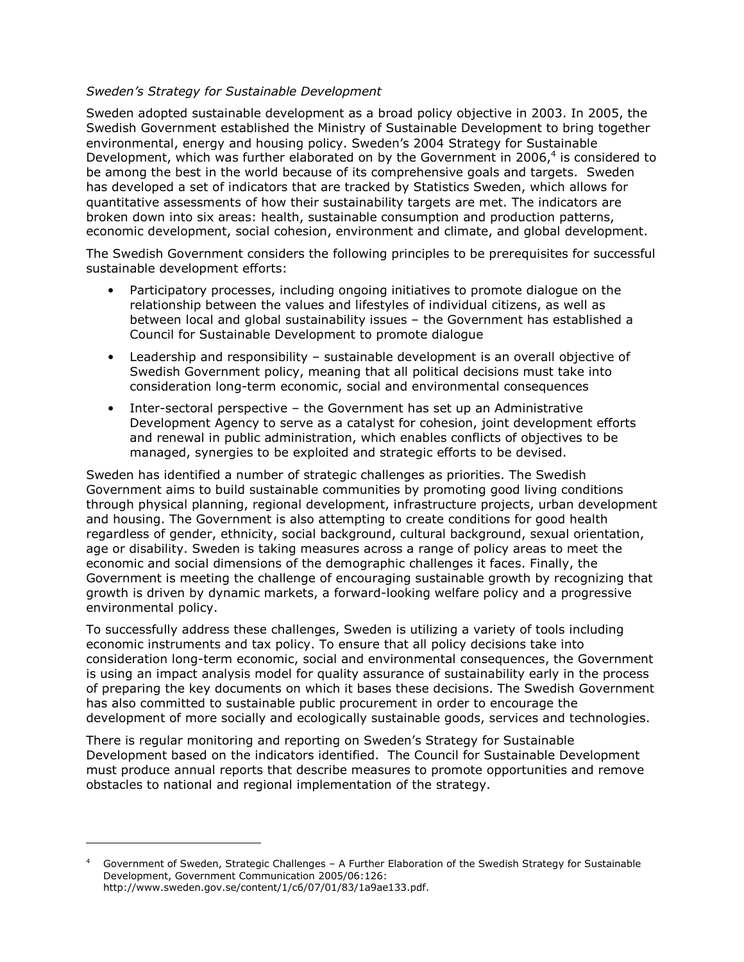### Sweden's Strategy for Sustainable Development

Sweden adopted sustainable development as a broad policy objective in 2003. In 2005, the Swedish Government established the Ministry of Sustainable Development to bring together environmental, energy and housing policy. Sweden's 2004 Strategy for Sustainable Development, which was further elaborated on by the Government in 2006, $4$  is considered to be among the best in the world because of its comprehensive goals and targets. Sweden has developed a set of indicators that are tracked by Statistics Sweden, which allows for quantitative assessments of how their sustainability targets are met. The indicators are broken down into six areas: health, sustainable consumption and production patterns, economic development, social cohesion, environment and climate, and global development.

The Swedish Government considers the following principles to be prerequisites for successful sustainable development efforts:

- Participatory processes, including ongoing initiatives to promote dialogue on the relationship between the values and lifestyles of individual citizens, as well as between local and global sustainability issues – the Government has established a Council for Sustainable Development to promote dialogue
- Leadership and responsibility sustainable development is an overall objective of Swedish Government policy, meaning that all political decisions must take into consideration long-term economic, social and environmental consequences
- Inter-sectoral perspective the Government has set up an Administrative Development Agency to serve as a catalyst for cohesion, joint development efforts and renewal in public administration, which enables conflicts of objectives to be managed, synergies to be exploited and strategic efforts to be devised.

Sweden has identified a number of strategic challenges as priorities. The Swedish Government aims to build sustainable communities by promoting good living conditions through physical planning, regional development, infrastructure projects, urban development and housing. The Government is also attempting to create conditions for good health regardless of gender, ethnicity, social background, cultural background, sexual orientation, age or disability. Sweden is taking measures across a range of policy areas to meet the economic and social dimensions of the demographic challenges it faces. Finally, the Government is meeting the challenge of encouraging sustainable growth by recognizing that growth is driven by dynamic markets, a forward-looking welfare policy and a progressive environmental policy.

To successfully address these challenges, Sweden is utilizing a variety of tools including economic instruments and tax policy. To ensure that all policy decisions take into consideration long-term economic, social and environmental consequences, the Government is using an impact analysis model for quality assurance of sustainability early in the process of preparing the key documents on which it bases these decisions. The Swedish Government has also committed to sustainable public procurement in order to encourage the development of more socially and ecologically sustainable goods, services and technologies.

There is regular monitoring and reporting on Sweden's Strategy for Sustainable Development based on the indicators identified. The Council for Sustainable Development must produce annual reports that describe measures to promote opportunities and remove obstacles to national and regional implementation of the strategy.

 $\overline{a}$ 

<sup>4</sup> Government of Sweden, Strategic Challenges – A Further Elaboration of the Swedish Strategy for Sustainable Development, Government Communication 2005/06:126: http://www.sweden.gov.se/content/1/c6/07/01/83/1a9ae133.pdf.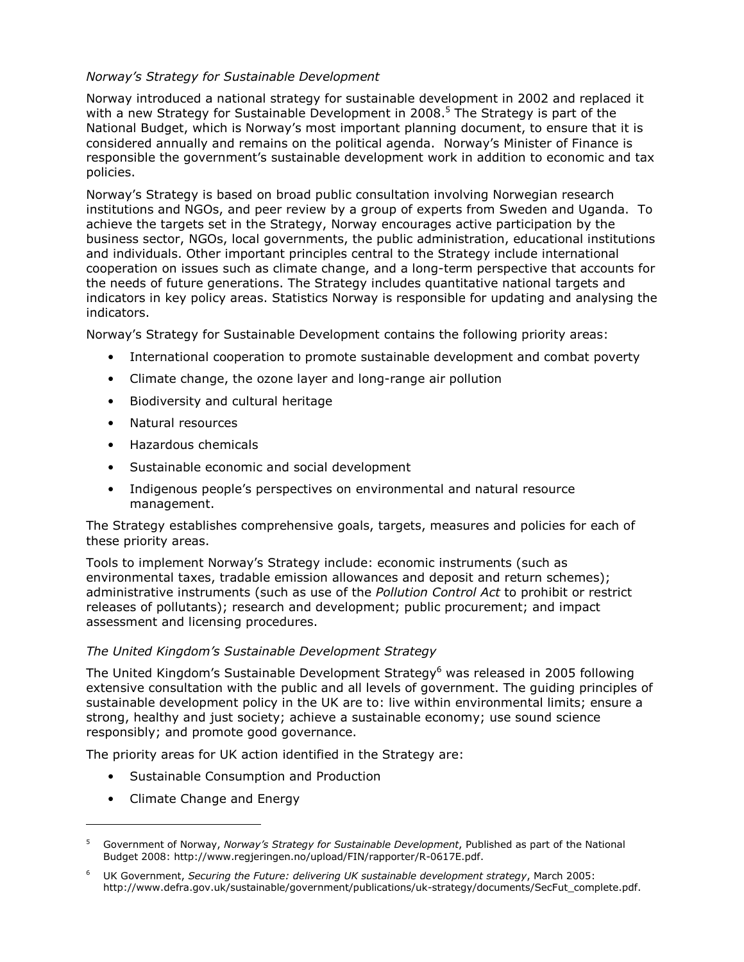# Norway's Strategy for Sustainable Development

Norway introduced a national strategy for sustainable development in 2002 and replaced it with a new Strategy for Sustainable Development in 2008.<sup>5</sup> The Strategy is part of the National Budget, which is Norway's most important planning document, to ensure that it is considered annually and remains on the political agenda. Norway's Minister of Finance is responsible the government's sustainable development work in addition to economic and tax policies.

Norway's Strategy is based on broad public consultation involving Norwegian research institutions and NGOs, and peer review by a group of experts from Sweden and Uganda. To achieve the targets set in the Strategy, Norway encourages active participation by the business sector, NGOs, local governments, the public administration, educational institutions and individuals. Other important principles central to the Strategy include international cooperation on issues such as climate change, and a long-term perspective that accounts for the needs of future generations. The Strategy includes quantitative national targets and indicators in key policy areas. Statistics Norway is responsible for updating and analysing the indicators.

Norway's Strategy for Sustainable Development contains the following priority areas:

- International cooperation to promote sustainable development and combat poverty
- Climate change, the ozone layer and long-range air pollution
- Biodiversity and cultural heritage
- Natural resources
- Hazardous chemicals
- Sustainable economic and social development
- Indigenous people's perspectives on environmental and natural resource management.

The Strategy establishes comprehensive goals, targets, measures and policies for each of these priority areas.

Tools to implement Norway's Strategy include: economic instruments (such as environmental taxes, tradable emission allowances and deposit and return schemes); administrative instruments (such as use of the Pollution Control Act to prohibit or restrict releases of pollutants); research and development; public procurement; and impact assessment and licensing procedures.

### The United Kingdom's Sustainable Development Strategy

The United Kingdom's Sustainable Development Strategy<sup>6</sup> was released in 2005 following extensive consultation with the public and all levels of government. The guiding principles of sustainable development policy in the UK are to: live within environmental limits; ensure a strong, healthy and just society; achieve a sustainable economy; use sound science responsibly; and promote good governance.

The priority areas for UK action identified in the Strategy are:

- Sustainable Consumption and Production
- Climate Change and Energy

 $\overline{a}$ 

<sup>5</sup> Government of Norway, Norway's Strategy for Sustainable Development, Published as part of the National Budget 2008: http://www.regjeringen.no/upload/FIN/rapporter/R-0617E.pdf.

<sup>6</sup> UK Government, Securing the Future: delivering UK sustainable development strategy, March 2005: http://www.defra.gov.uk/sustainable/government/publications/uk-strategy/documents/SecFut\_complete.pdf.